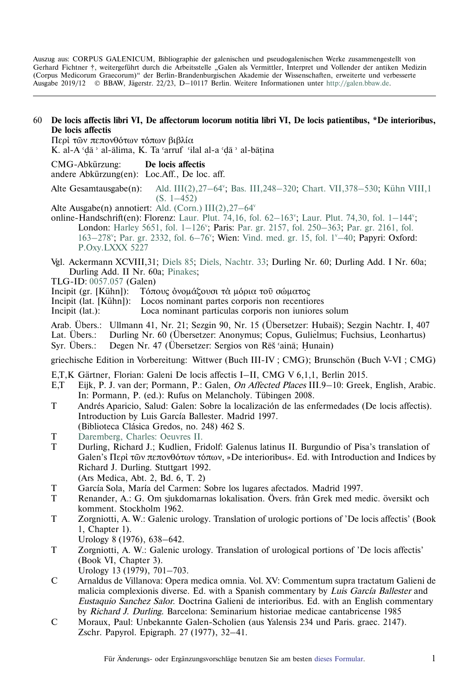Auszug aus: CORPUS GALENICUM, Bibliographie der galenischen und pseudogalenischen Werke zusammengestellt von Gerhard Fichtner †, weitergeführt durch die Arbeitsstelle "Galen als Vermittler, Interpret und Vollender der antiken Medizin (Corpus Medicorum Graecorum)" der Berlin-Brandenburgischen Akademie der Wissenschaften, erweiterte und verbesserte Ausgabe 2019/12 © BBAW, Jägerstr. 22/23, D–10117 Berlin. Weitere Informationen unter [http://galen.bbaw.de](ttp://galen.bbaw.de).

## 60 **De locis affectis libri VI, De affectorum locorum notitia libri VI, De locis patientibus, \*De interioribus, De locis affectis**

Περί των πεπονθότων τόπων βιβλία K. al-A 'dā ' al-ālima, K. Ta 'arruf 'ilal al-a 'dā ' al-bātina

˙ ˙ ˙ CMG-Abkürzung: **De locis affectis** andere Abkürzung(en): Loc.Aff., De loc. aff. Alte Gesamtausgabe $(n)$ : Ald. III(2), 27–64°; Bas. III, 248–320; Chart. VII, 378–530; Kühn VIII, 1 [\(S. 1–452\)](https://archive.org/stream/hapantaoperaomni08galeuoft#page/n9/mode/2up) Alte Ausgabe(n) annotiert: [Ald. \(Corn.\) III\(2\),27–64v](https://archive.thulb.uni-jena.de/hisbest/rsc/viewer/HisBest_derivate_00010415/Cornarius_213996405_03_213996502_0276.tif) online-Handschrift(en): Florenz: Laur. Plut. 74,16, fol.  $62-163$ "; Laur. Plut. 74,30, fol.  $1-144$ "; London: Harley 5651, fol. 1-126'; Paris: Par. gr. 2157, fol. 250-363; [Par. gr. 2161, fol.](http://gallica.bnf.fr/ark:/12148/btv1b107231855/f177.image) 163-278"; Par. gr. 2332, fol. 6-76"; Wien: Vind. med. gr. 15, fol. 1"-40; Papyri: Oxford: [P.Oxy.LXXX 5227](http://163.1.169.40/cgi-bin/library?e=q-000-00---0POxy--00-0-0--0prompt-10---4----de0--0-1l--1-en-50---20-about-galen--00031-001-0-0utfZz-8-00&a=d&c=POxy&cl=search&d=HASH017503e8fd8259b2fecc6bee) Vgl. Ackermann XCVIII,31; [Diels 85;](http://cmg.bbaw.de/epubl/online/diels_02.html?custom=1&pn=85&AnzFrames=1&dw=1625&dh=816) [Diels, Nachtr. 33;](http://cmg.bbaw.de/epubl/online/diels_04.html?custom=1&pn=33&anzframes=1&dw=1452&dh=816) Durling Nr. 60; Durling Add. I Nr. 60a; Durling Add. II Nr. 60a; [Pinakes](http://pinakes.irht.cnrs.fr/notices/oeuvre/3074/); TLG-ID: [0057.057](http://stephanus.tlg.uci.edu/Iris/inst/browser.jsp#doc=tlg&aid=0057&wid=057&st=0&l=30) (Galen) Incipit (gr. [Kühn]): Τόπους όνομάζουσι τα μόρια τοῦ σώματος Incipit (lat. [Kühn]): Locos nominant partes corporis non recentiores Incipit (lat.): Loca nominant particulas corporis non iuniores solum Arab. Übers.: Ullmann 41, Nr. 21; Sezgin 90, Nr. 15 (Übersetzer: Hubaiš); Sezgin Nachtr. I, 407<br>Lat Übers Durling Nr. 60 (Übersetzer: Anonymus: Copus Gulielmus: Fuchsius Leonhartus) Lat. Übers.: Durling Nr. 60 (Übersetzer: Anonymus; Copus, Gulielmus; Fuchsius, Leonhartus) Syr. Übers.: Degen Nr. 47 (Übersetzer: Sergios von Rēš´ainā; Hunain) griechische Edition in Vorbereitung: Wittwer (Buch III-IV ; CMG); Brunschön (Buch V-VI ; CMG) E,T,K Gärtner, Florian: Galeni De locis affectis I–II, CMG V 6,1,1, Berlin 2015. E,T Eijk, P. J. van der; Pormann, P.: Galen, On Affected Places III.9–10: Greek, English, Arabic. In: Pormann, P. (ed.): Rufus on Melancholy. Tübingen 2008. T Andrés Aparicio, Salud: Galen: Sobre la localización de las enfermedades (De locis affectis). Introduction by Luis García Ballester. Madrid 1997. (Biblioteca Clásica Gredos, no. 248) 462 S. T [Daremberg, Charles: Oeuvres II.](http://opacplus.bsb-muenchen.de/title/BV009347830/ft/bsb10236009?page=476) T Durling, Richard J.; Kudlien, Fridolf: Galenus latinus II. Burgundio of Pisa's translation of Galen's Περὶ τῶν πεπονθότων τόπων, »De interioribus«. Ed. with Introduction and Indices by Richard J. Durling. Stuttgart 1992. (Ars Medica, Abt. 2, Bd. 6, T. 2) T García Sola, María del Carmen: Sobre los lugares afectados. Madrid 1997.

- T Renander, A.: G. Om sjukdomarnas lokalisation. Övers. från Grek med medic. översikt och komment. Stockholm 1962.
- T Zorgniotti, A. W.: Galenic urology. Translation of urologic portions of 'De locis affectis' (Book 1, Chapter 1).
	- Urology 8 (1976), 638–642.
- T Zorgniotti, A. W.: Galenic urology. Translation of urological portions of 'De locis affectis' (Book VI, Chapter 3). Urology 13 (1979), 701–703.
- C Arnaldus de Villanova: Opera medica omnia. Vol. XV: Commentum supra tractatum Galieni de malicia complexionis diverse. Ed. with a Spanish commentary by Luis García Ballester and Eustaquio Sanchez Salor. Doctrina Galieni de interioribus. Ed. with an English commentary by Richard J. Durling. Barcelona: Seminarium historiae medicae cantabricense 1985
- C Moraux, Paul: Unbekannte Galen-Scholien (aus Yalensis 234 und Paris. graec. 2147). Zschr. Papyrol. Epigraph. 27 (1977), 32–41.